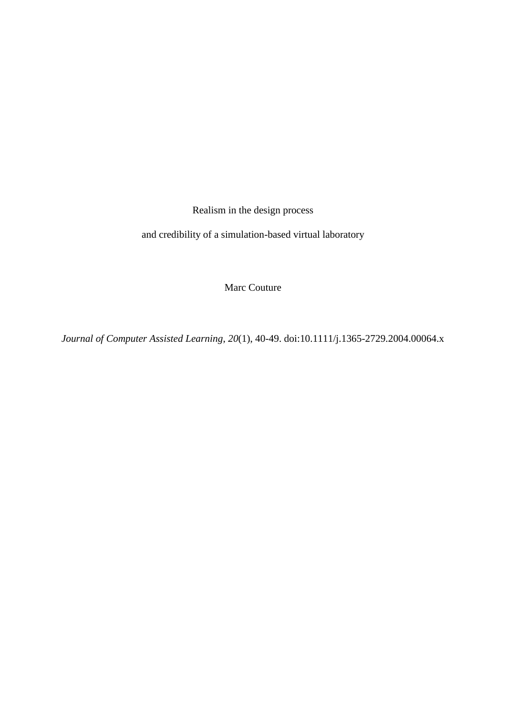Realism in the design process

and credibility of a simulation-based virtual laboratory

Marc Couture

*Journal of Computer Assisted Learning*, *20*(1), 40-49. doi:10.1111/j.1365-2729.2004.00064.x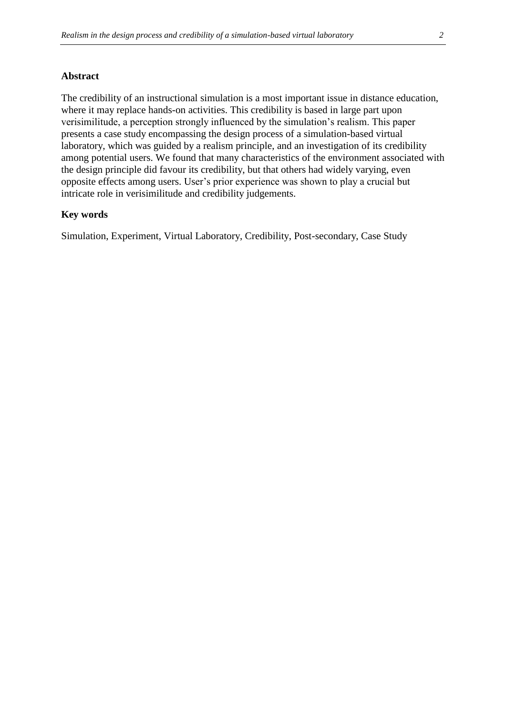## **Abstract**

The credibility of an instructional simulation is a most important issue in distance education, where it may replace hands-on activities. This credibility is based in large part upon verisimilitude, a perception strongly influenced by the simulation's realism. This paper presents a case study encompassing the design process of a simulation-based virtual laboratory, which was guided by a realism principle, and an investigation of its credibility among potential users. We found that many characteristics of the environment associated with the design principle did favour its credibility, but that others had widely varying, even opposite effects among users. User's prior experience was shown to play a crucial but intricate role in verisimilitude and credibility judgements.

### **Key words**

Simulation, Experiment, Virtual Laboratory, Credibility, Post-secondary, Case Study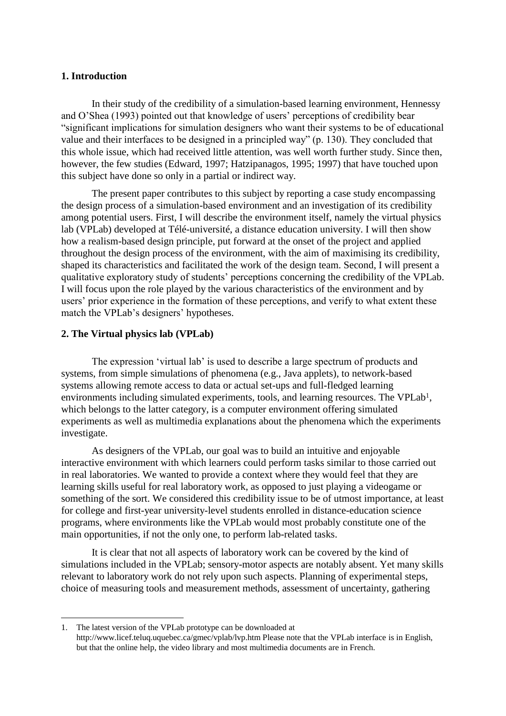### **1. Introduction**

In their study of the credibility of a simulation-based learning environment, Hennessy and O'Shea (1993) pointed out that knowledge of users' perceptions of credibility bear "significant implications for simulation designers who want their systems to be of educational value and their interfaces to be designed in a principled way" (p. 130). They concluded that this whole issue, which had received little attention, was well worth further study. Since then, however, the few studies (Edward, 1997; Hatzipanagos, 1995; 1997) that have touched upon this subject have done so only in a partial or indirect way.

The present paper contributes to this subject by reporting a case study encompassing the design process of a simulation-based environment and an investigation of its credibility among potential users. First, I will describe the environment itself, namely the virtual physics lab (VPLab) developed at Télé-université, a distance education university. I will then show how a realism-based design principle, put forward at the onset of the project and applied throughout the design process of the environment, with the aim of maximising its credibility, shaped its characteristics and facilitated the work of the design team. Second, I will present a qualitative exploratory study of students' perceptions concerning the credibility of the VPLab. I will focus upon the role played by the various characteristics of the environment and by users' prior experience in the formation of these perceptions, and verify to what extent these match the VPLab's designers' hypotheses.

## **2. The Virtual physics lab (VPLab)**

1

The expression 'virtual lab' is used to describe a large spectrum of products and systems, from simple simulations of phenomena (e.g., Java applets), to network-based systems allowing remote access to data or actual set-ups and full-fledged learning environments including simulated experiments, tools, and learning resources. The VPLab<sup>1</sup>, which belongs to the latter category, is a computer environment offering simulated experiments as well as multimedia explanations about the phenomena which the experiments investigate.

As designers of the VPLab, our goal was to build an intuitive and enjoyable interactive environment with which learners could perform tasks similar to those carried out in real laboratories. We wanted to provide a context where they would feel that they are learning skills useful for real laboratory work, as opposed to just playing a videogame or something of the sort. We considered this credibility issue to be of utmost importance, at least for college and first-year university-level students enrolled in distance-education science programs, where environments like the VPLab would most probably constitute one of the main opportunities, if not the only one, to perform lab-related tasks.

It is clear that not all aspects of laboratory work can be covered by the kind of simulations included in the VPLab; sensory-motor aspects are notably absent. Yet many skills relevant to laboratory work do not rely upon such aspects. Planning of experimental steps, choice of measuring tools and measurement methods, assessment of uncertainty, gathering

<sup>1.</sup> The latest version of the VPLab prototype can be downloaded at http://www.licef.teluq.uquebec.ca/gmec/vplab/lvp.htm Please note that the VPLab interface is in English, but that the online help, the video library and most multimedia documents are in French.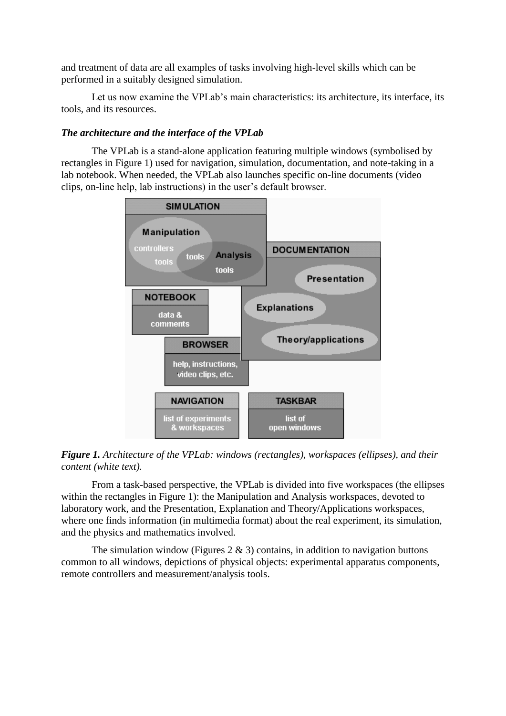and treatment of data are all examples of tasks involving high-level skills which can be performed in a suitably designed simulation.

Let us now examine the VPLab's main characteristics: its architecture, its interface, its tools, and its resources.

# *The architecture and the interface of the VPLab*

The VPLab is a stand-alone application featuring multiple windows (symbolised by rectangles in Figure 1) used for navigation, simulation, documentation, and note-taking in a lab notebook. When needed, the VPLab also launches specific on-line documents (video clips, on-line help, lab instructions) in the user's default browser.



*Figure 1. Architecture of the VPLab: windows (rectangles), workspaces (ellipses), and their content (white text).*

From a task-based perspective, the VPLab is divided into five workspaces (the ellipses within the rectangles in Figure 1): the Manipulation and Analysis workspaces, devoted to laboratory work, and the Presentation, Explanation and Theory/Applications workspaces, where one finds information (in multimedia format) about the real experiment, its simulation, and the physics and mathematics involved.

The simulation window (Figures  $2 \& 3$ ) contains, in addition to navigation buttons common to all windows, depictions of physical objects: experimental apparatus components, remote controllers and measurement/analysis tools.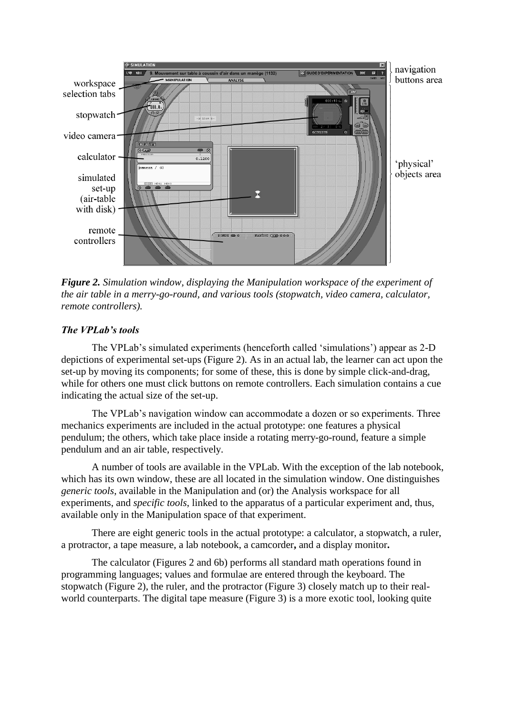

*Figure 2. Simulation window, displaying the Manipulation workspace of the experiment of the air table in a merry-go-round, and various tools (stopwatch, video camera, calculator, remote controllers).*

# *The VPLab's tools*

The VPLab's simulated experiments (henceforth called 'simulations') appear as 2-D depictions of experimental set-ups (Figure 2). As in an actual lab, the learner can act upon the set-up by moving its components; for some of these, this is done by simple click-and-drag, while for others one must click buttons on remote controllers. Each simulation contains a cue indicating the actual size of the set-up.

The VPLab's navigation window can accommodate a dozen or so experiments. Three mechanics experiments are included in the actual prototype: one features a physical pendulum; the others, which take place inside a rotating merry-go-round, feature a simple pendulum and an air table, respectively.

A number of tools are available in the VPLab. With the exception of the lab notebook, which has its own window, these are all located in the simulation window. One distinguishes *generic tools*, available in the Manipulation and (or) the Analysis workspace for all experiments, and *specific tools*, linked to the apparatus of a particular experiment and, thus, available only in the Manipulation space of that experiment.

There are eight generic tools in the actual prototype: a calculator, a stopwatch, a ruler, a protractor, a tape measure, a lab notebook, a camcorder**,** and a display monitor**.**

The calculator (Figures 2 and 6b) performs all standard math operations found in programming languages; values and formulae are entered through the keyboard. The stopwatch (Figure 2), the ruler, and the protractor (Figure 3) closely match up to their realworld counterparts. The digital tape measure (Figure 3) is a more exotic tool, looking quite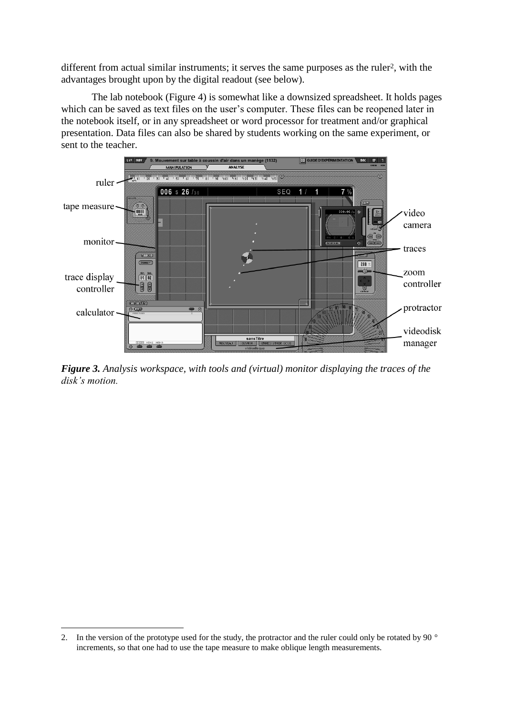different from actual similar instruments; it serves the same purposes as the ruler<sup>2</sup>, with the advantages brought upon by the digital readout (see below).

The lab notebook (Figure 4) is somewhat like a downsized spreadsheet. It holds pages which can be saved as text files on the user's computer. These files can be reopened later in the notebook itself, or in any spreadsheet or word processor for treatment and/or graphical presentation. Data files can also be shared by students working on the same experiment, or sent to the teacher.



*Figure 3. Analysis workspace, with tools and (virtual) monitor displaying the traces of the disk's motion.*

<sup>1</sup> 2. In the version of the prototype used for the study, the protractor and the ruler could only be rotated by 90 ° increments, so that one had to use the tape measure to make oblique length measurements.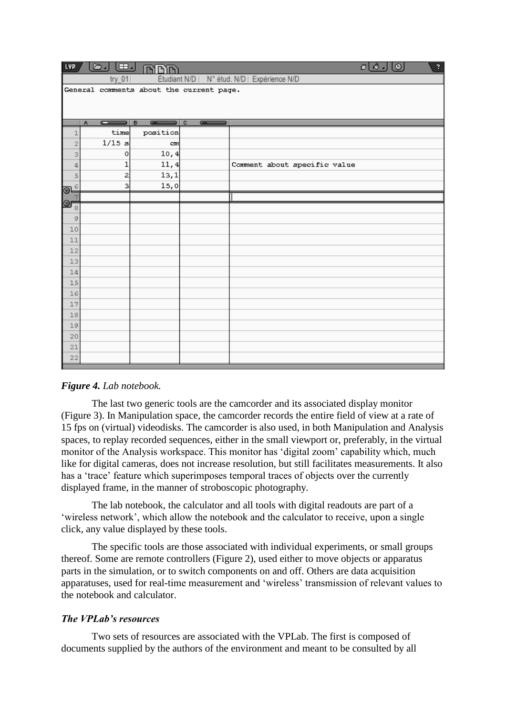| LVP                                                       | Œ,<br>b.     | rinn          |                          | 回移』<br>?<br>l٥               |
|-----------------------------------------------------------|--------------|---------------|--------------------------|------------------------------|
| N° étud. N/D   Expérience N/D<br>Étudiant N/D  <br>try_01 |              |               |                          |                              |
| General comments about the current page.                  |              |               |                          |                              |
|                                                           |              |               |                          |                              |
|                                                           |              |               |                          |                              |
|                                                           | A<br>$\sim$  | B<br>$\equiv$ | $\mathbf{c}$<br>$\equiv$ |                              |
| ı                                                         | time         | position      |                          |                              |
| $\bar{z}$                                                 | 1/15 s       | com           |                          |                              |
| 3                                                         | 0            | 10, 4         |                          |                              |
| 4                                                         | 1            | 11, 4         |                          | Comment about specific value |
| 5                                                         | $\mathbf{2}$ | 13,1          |                          |                              |
| 6<br>o.                                                   | 3            | 15,0          |                          |                              |
| ®r                                                        |              |               |                          |                              |
| $\rm ^8$                                                  |              |               |                          |                              |
| 9                                                         |              |               |                          |                              |
| $10\,$                                                    |              |               |                          |                              |
| 11                                                        |              |               |                          |                              |
| 12                                                        |              |               |                          |                              |
| 13                                                        |              |               |                          |                              |
| 14                                                        |              |               |                          |                              |
| 15                                                        |              |               |                          |                              |
| $16\,$                                                    |              |               |                          |                              |
| 17                                                        |              |               |                          |                              |
| 18                                                        |              |               |                          |                              |
| 19                                                        |              |               |                          |                              |
| 20                                                        |              |               |                          |                              |
| 21                                                        |              |               |                          |                              |
| 22                                                        |              |               |                          |                              |

## *Figure 4. Lab notebook.*

The last two generic tools are the camcorder and its associated display monitor (Figure 3). In Manipulation space, the camcorder records the entire field of view at a rate of 15 fps on (virtual) videodisks. The camcorder is also used, in both Manipulation and Analysis spaces, to replay recorded sequences, either in the small viewport or, preferably, in the virtual monitor of the Analysis workspace. This monitor has 'digital zoom' capability which, much like for digital cameras, does not increase resolution, but still facilitates measurements. It also has a 'trace' feature which superimposes temporal traces of objects over the currently displayed frame, in the manner of stroboscopic photography.

The lab notebook, the calculator and all tools with digital readouts are part of a 'wireless network', which allow the notebook and the calculator to receive, upon a single click, any value displayed by these tools.

The specific tools are those associated with individual experiments, or small groups thereof. Some are remote controllers (Figure 2), used either to move objects or apparatus parts in the simulation, or to switch components on and off. Others are data acquisition apparatuses, used for real-time measurement and 'wireless' transmission of relevant values to the notebook and calculator.

## *The VPLab's resources*

Two sets of resources are associated with the VPLab. The first is composed of documents supplied by the authors of the environment and meant to be consulted by all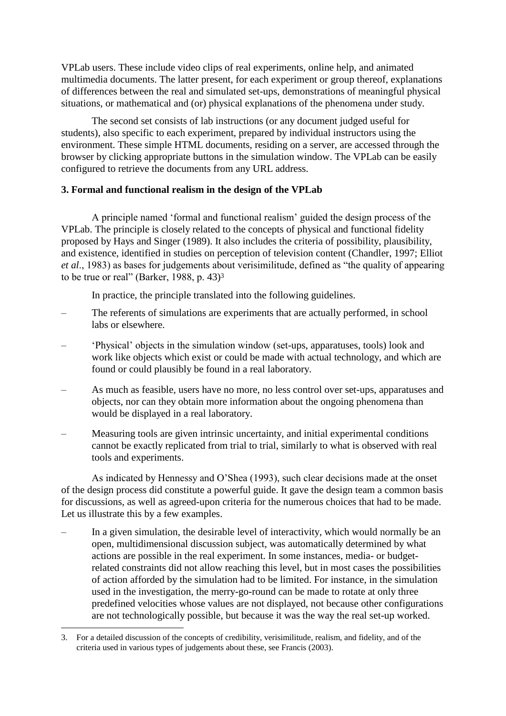VPLab users. These include video clips of real experiments, online help, and animated multimedia documents. The latter present, for each experiment or group thereof, explanations of differences between the real and simulated set-ups, demonstrations of meaningful physical situations, or mathematical and (or) physical explanations of the phenomena under study.

The second set consists of lab instructions (or any document judged useful for students), also specific to each experiment, prepared by individual instructors using the environment. These simple HTML documents, residing on a server, are accessed through the browser by clicking appropriate buttons in the simulation window. The VPLab can be easily configured to retrieve the documents from any URL address.

## **3. Formal and functional realism in the design of the VPLab**

A principle named 'formal and functional realism' guided the design process of the VPLab. The principle is closely related to the concepts of physical and functional fidelity proposed by Hays and Singer (1989). It also includes the criteria of possibility, plausibility, and existence, identified in studies on perception of television content (Chandler, 1997; Elliot *et al*., 1983) as bases for judgements about verisimilitude, defined as "the quality of appearing to be true or real" (Barker, 1988, p. 43)<sup>3</sup>

In practice, the principle translated into the following guidelines.

- The referents of simulations are experiments that are actually performed, in school labs or elsewhere.
- 'Physical' objects in the simulation window (set-ups, apparatuses, tools) look and work like objects which exist or could be made with actual technology, and which are found or could plausibly be found in a real laboratory.
- As much as feasible, users have no more, no less control over set-ups, apparatuses and objects, nor can they obtain more information about the ongoing phenomena than would be displayed in a real laboratory.
- Measuring tools are given intrinsic uncertainty, and initial experimental conditions cannot be exactly replicated from trial to trial, similarly to what is observed with real tools and experiments.

As indicated by Hennessy and O'Shea (1993), such clear decisions made at the onset of the design process did constitute a powerful guide. It gave the design team a common basis for discussions, as well as agreed-upon criteria for the numerous choices that had to be made. Let us illustrate this by a few examples.

– In a given simulation, the desirable level of interactivity, which would normally be an open, multidimensional discussion subject, was automatically determined by what actions are possible in the real experiment. In some instances, media- or budgetrelated constraints did not allow reaching this level, but in most cases the possibilities of action afforded by the simulation had to be limited. For instance, in the simulation used in the investigation, the merry-go-round can be made to rotate at only three predefined velocities whose values are not displayed, not because other configurations are not technologically possible, but because it was the way the real set-up worked.

<sup>1</sup> 3. For a detailed discussion of the concepts of credibility, verisimilitude, realism, and fidelity, and of the criteria used in various types of judgements about these, see Francis (2003).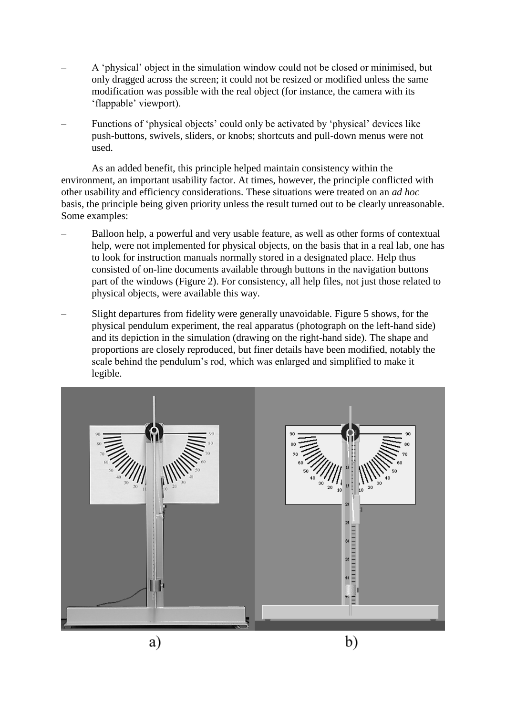- A 'physical' object in the simulation window could not be closed or minimised, but only dragged across the screen; it could not be resized or modified unless the same modification was possible with the real object (for instance, the camera with its 'flappable' viewport).
- Functions of 'physical objects' could only be activated by 'physical' devices like push-buttons, swivels, sliders, or knobs; shortcuts and pull-down menus were not used.

As an added benefit, this principle helped maintain consistency within the environment, an important usability factor. At times, however, the principle conflicted with other usability and efficiency considerations. These situations were treated on an *ad hoc*  basis, the principle being given priority unless the result turned out to be clearly unreasonable. Some examples:

- Balloon help, a powerful and very usable feature, as well as other forms of contextual help, were not implemented for physical objects, on the basis that in a real lab, one has to look for instruction manuals normally stored in a designated place. Help thus consisted of on-line documents available through buttons in the navigation buttons part of the windows (Figure 2). For consistency, all help files, not just those related to physical objects, were available this way.
- Slight departures from fidelity were generally unavoidable. Figure 5 shows, for the physical pendulum experiment, the real apparatus (photograph on the left-hand side) and its depiction in the simulation (drawing on the right-hand side). The shape and proportions are closely reproduced, but finer details have been modified, notably the scale behind the pendulum's rod, which was enlarged and simplified to make it legible.

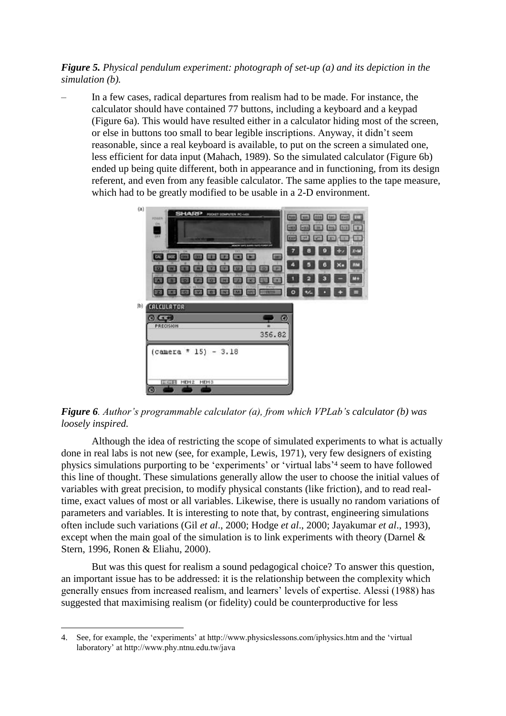*Figure 5. Physical pendulum experiment: photograph of set-up (a) and its depiction in the simulation (b).*

– In a few cases, radical departures from realism had to be made. For instance, the calculator should have contained 77 buttons, including a keyboard and a keypad (Figure 6a). This would have resulted either in a calculator hiding most of the screen, or else in buttons too small to bear legible inscriptions. Anyway, it didn't seem reasonable, since a real keyboard is available, to put on the screen a simulated one, less efficient for data input (Mahach, 1989). So the simulated calculator (Figure 6b) ended up being quite different, both in appearance and in functioning, from its design referent, and even from any feasible calculator. The same applies to the tape measure, which had to be greatly modified to be usable in a 2-D environment.



*Figure 6. Author's programmable calculator (a), from which VPLab's calculator (b) was loosely inspired.*

Although the idea of restricting the scope of simulated experiments to what is actually done in real labs is not new (see, for example, Lewis, 1971), very few designers of existing physics simulations purporting to be 'experiments' or 'virtual labs'<sup>4</sup> seem to have followed this line of thought. These simulations generally allow the user to choose the initial values of variables with great precision, to modify physical constants (like friction), and to read realtime, exact values of most or all variables. Likewise, there is usually no random variations of parameters and variables. It is interesting to note that, by contrast, engineering simulations often include such variations (Gil *et al*., 2000; Hodge *et al*., 2000; Jayakumar *et al*., 1993), except when the main goal of the simulation is to link experiments with theory (Darnel  $\&$ Stern, 1996, Ronen & Eliahu, 2000).

But was this quest for realism a sound pedagogical choice? To answer this question, an important issue has to be addressed: it is the relationship between the complexity which generally ensues from increased realism, and learners' levels of expertise. Alessi (1988) has suggested that maximising realism (or fidelity) could be counterproductive for less

<sup>1</sup> 4. See, for example, the 'experiments' at http://www.physicslessons.com/iphysics.htm and the 'virtual laboratory' at http://www.phy.ntnu.edu.tw/java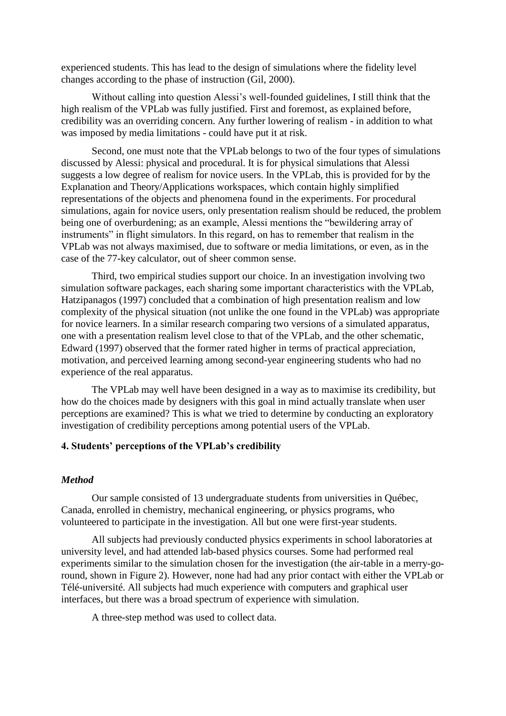experienced students. This has lead to the design of simulations where the fidelity level changes according to the phase of instruction (Gil, 2000).

Without calling into question Alessi's well-founded guidelines, I still think that the high realism of the VPLab was fully justified. First and foremost, as explained before, credibility was an overriding concern. Any further lowering of realism - in addition to what was imposed by media limitations - could have put it at risk.

Second, one must note that the VPLab belongs to two of the four types of simulations discussed by Alessi: physical and procedural. It is for physical simulations that Alessi suggests a low degree of realism for novice users. In the VPLab, this is provided for by the Explanation and Theory/Applications workspaces, which contain highly simplified representations of the objects and phenomena found in the experiments. For procedural simulations, again for novice users, only presentation realism should be reduced, the problem being one of overburdening; as an example, Alessi mentions the "bewildering array of instruments" in flight simulators. In this regard, on has to remember that realism in the VPLab was not always maximised, due to software or media limitations, or even, as in the case of the 77-key calculator, out of sheer common sense.

Third, two empirical studies support our choice. In an investigation involving two simulation software packages, each sharing some important characteristics with the VPLab, Hatzipanagos (1997) concluded that a combination of high presentation realism and low complexity of the physical situation (not unlike the one found in the VPLab) was appropriate for novice learners. In a similar research comparing two versions of a simulated apparatus, one with a presentation realism level close to that of the VPLab, and the other schematic, Edward (1997) observed that the former rated higher in terms of practical appreciation, motivation, and perceived learning among second-year engineering students who had no experience of the real apparatus.

The VPLab may well have been designed in a way as to maximise its credibility, but how do the choices made by designers with this goal in mind actually translate when user perceptions are examined? This is what we tried to determine by conducting an exploratory investigation of credibility perceptions among potential users of the VPLab.

### **4. Students' perceptions of the VPLab's credibility**

#### *Method*

Our sample consisted of 13 undergraduate students from universities in Québec, Canada, enrolled in chemistry, mechanical engineering, or physics programs, who volunteered to participate in the investigation. All but one were first-year students.

All subjects had previously conducted physics experiments in school laboratories at university level, and had attended lab-based physics courses. Some had performed real experiments similar to the simulation chosen for the investigation (the air-table in a merry-goround, shown in Figure 2). However, none had had any prior contact with either the VPLab or Télé-université. All subjects had much experience with computers and graphical user interfaces, but there was a broad spectrum of experience with simulation.

A three-step method was used to collect data.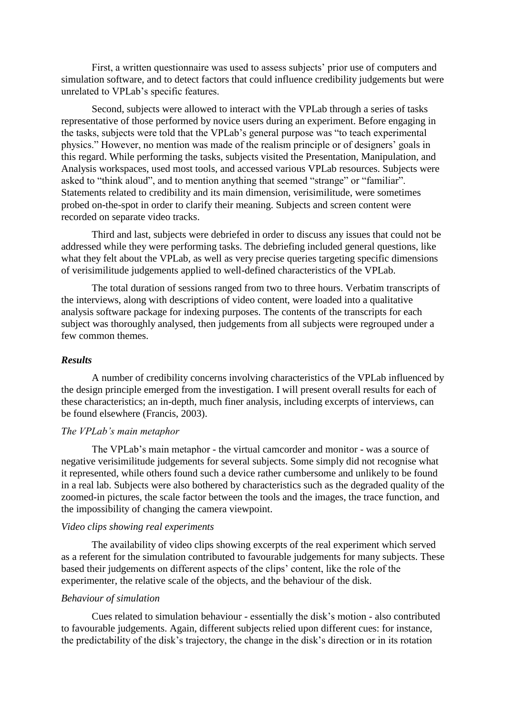First, a written questionnaire was used to assess subjects' prior use of computers and simulation software, and to detect factors that could influence credibility judgements but were unrelated to VPLab's specific features.

Second, subjects were allowed to interact with the VPLab through a series of tasks representative of those performed by novice users during an experiment. Before engaging in the tasks, subjects were told that the VPLab's general purpose was "to teach experimental physics." However, no mention was made of the realism principle or of designers' goals in this regard. While performing the tasks, subjects visited the Presentation, Manipulation, and Analysis workspaces, used most tools, and accessed various VPLab resources. Subjects were asked to "think aloud", and to mention anything that seemed "strange" or "familiar". Statements related to credibility and its main dimension, verisimilitude, were sometimes probed on-the-spot in order to clarify their meaning. Subjects and screen content were recorded on separate video tracks.

Third and last, subjects were debriefed in order to discuss any issues that could not be addressed while they were performing tasks. The debriefing included general questions, like what they felt about the VPLab, as well as very precise queries targeting specific dimensions of verisimilitude judgements applied to well-defined characteristics of the VPLab.

The total duration of sessions ranged from two to three hours. Verbatim transcripts of the interviews, along with descriptions of video content, were loaded into a qualitative analysis software package for indexing purposes. The contents of the transcripts for each subject was thoroughly analysed, then judgements from all subjects were regrouped under a few common themes.

### *Results*

A number of credibility concerns involving characteristics of the VPLab influenced by the design principle emerged from the investigation. I will present overall results for each of these characteristics; an in-depth, much finer analysis, including excerpts of interviews, can be found elsewhere (Francis, 2003).

### *The VPLab's main metaphor*

The VPLab's main metaphor - the virtual camcorder and monitor - was a source of negative verisimilitude judgements for several subjects. Some simply did not recognise what it represented, while others found such a device rather cumbersome and unlikely to be found in a real lab. Subjects were also bothered by characteristics such as the degraded quality of the zoomed-in pictures, the scale factor between the tools and the images, the trace function, and the impossibility of changing the camera viewpoint.

## *Video clips showing real experiments*

The availability of video clips showing excerpts of the real experiment which served as a referent for the simulation contributed to favourable judgements for many subjects. These based their judgements on different aspects of the clips' content, like the role of the experimenter, the relative scale of the objects, and the behaviour of the disk.

### *Behaviour of simulation*

Cues related to simulation behaviour - essentially the disk's motion - also contributed to favourable judgements. Again, different subjects relied upon different cues: for instance, the predictability of the disk's trajectory, the change in the disk's direction or in its rotation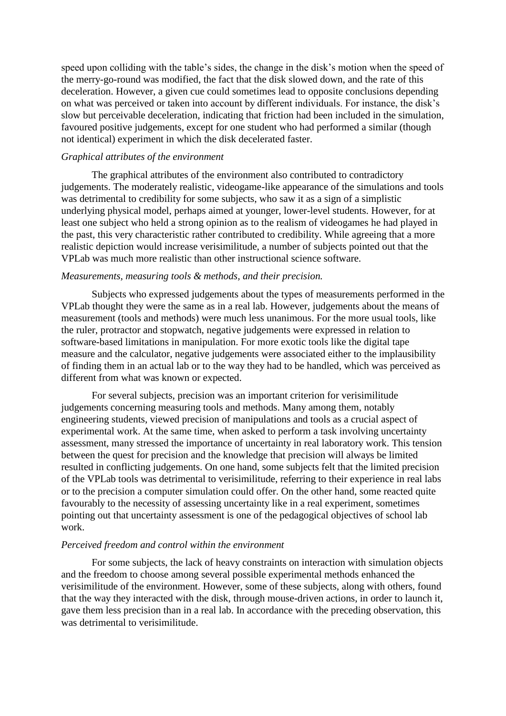speed upon colliding with the table's sides, the change in the disk's motion when the speed of the merry-go-round was modified, the fact that the disk slowed down, and the rate of this deceleration. However, a given cue could sometimes lead to opposite conclusions depending on what was perceived or taken into account by different individuals. For instance, the disk's slow but perceivable deceleration, indicating that friction had been included in the simulation, favoured positive judgements, except for one student who had performed a similar (though not identical) experiment in which the disk decelerated faster.

## *Graphical attributes of the environment*

The graphical attributes of the environment also contributed to contradictory judgements. The moderately realistic, videogame-like appearance of the simulations and tools was detrimental to credibility for some subjects, who saw it as a sign of a simplistic underlying physical model, perhaps aimed at younger, lower-level students. However, for at least one subject who held a strong opinion as to the realism of videogames he had played in the past, this very characteristic rather contributed to credibility. While agreeing that a more realistic depiction would increase verisimilitude, a number of subjects pointed out that the VPLab was much more realistic than other instructional science software.

#### *Measurements, measuring tools & methods, and their precision.*

Subjects who expressed judgements about the types of measurements performed in the VPLab thought they were the same as in a real lab. However, judgements about the means of measurement (tools and methods) were much less unanimous. For the more usual tools, like the ruler, protractor and stopwatch, negative judgements were expressed in relation to software-based limitations in manipulation. For more exotic tools like the digital tape measure and the calculator, negative judgements were associated either to the implausibility of finding them in an actual lab or to the way they had to be handled, which was perceived as different from what was known or expected.

For several subjects, precision was an important criterion for verisimilitude judgements concerning measuring tools and methods. Many among them, notably engineering students, viewed precision of manipulations and tools as a crucial aspect of experimental work. At the same time, when asked to perform a task involving uncertainty assessment, many stressed the importance of uncertainty in real laboratory work. This tension between the quest for precision and the knowledge that precision will always be limited resulted in conflicting judgements. On one hand, some subjects felt that the limited precision of the VPLab tools was detrimental to verisimilitude, referring to their experience in real labs or to the precision a computer simulation could offer. On the other hand, some reacted quite favourably to the necessity of assessing uncertainty like in a real experiment, sometimes pointing out that uncertainty assessment is one of the pedagogical objectives of school lab work.

### *Perceived freedom and control within the environment*

For some subjects, the lack of heavy constraints on interaction with simulation objects and the freedom to choose among several possible experimental methods enhanced the verisimilitude of the environment. However, some of these subjects, along with others, found that the way they interacted with the disk, through mouse-driven actions, in order to launch it, gave them less precision than in a real lab. In accordance with the preceding observation, this was detrimental to verisimilitude.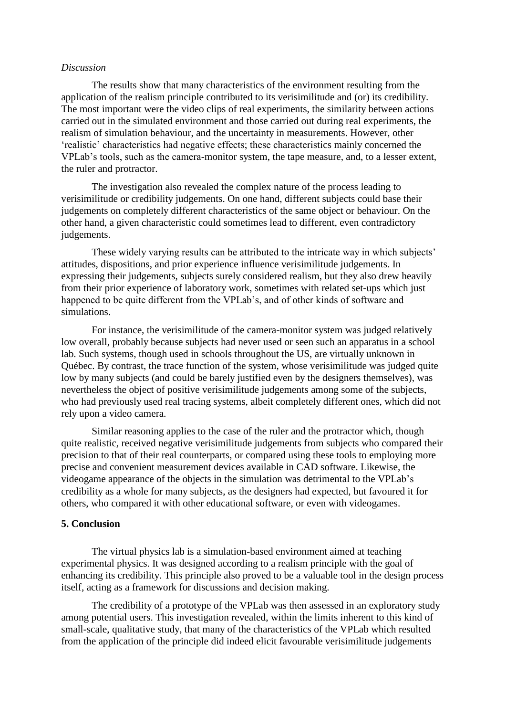#### *Discussion*

The results show that many characteristics of the environment resulting from the application of the realism principle contributed to its verisimilitude and (or) its credibility. The most important were the video clips of real experiments, the similarity between actions carried out in the simulated environment and those carried out during real experiments, the realism of simulation behaviour, and the uncertainty in measurements. However, other 'realistic' characteristics had negative effects; these characteristics mainly concerned the VPLab's tools, such as the camera-monitor system, the tape measure, and, to a lesser extent, the ruler and protractor.

The investigation also revealed the complex nature of the process leading to verisimilitude or credibility judgements. On one hand, different subjects could base their judgements on completely different characteristics of the same object or behaviour. On the other hand, a given characteristic could sometimes lead to different, even contradictory judgements.

These widely varying results can be attributed to the intricate way in which subjects' attitudes, dispositions, and prior experience influence verisimilitude judgements. In expressing their judgements, subjects surely considered realism, but they also drew heavily from their prior experience of laboratory work, sometimes with related set-ups which just happened to be quite different from the VPLab's, and of other kinds of software and simulations.

For instance, the verisimilitude of the camera-monitor system was judged relatively low overall, probably because subjects had never used or seen such an apparatus in a school lab. Such systems, though used in schools throughout the US, are virtually unknown in Québec. By contrast, the trace function of the system, whose verisimilitude was judged quite low by many subjects (and could be barely justified even by the designers themselves), was nevertheless the object of positive verisimilitude judgements among some of the subjects, who had previously used real tracing systems, albeit completely different ones, which did not rely upon a video camera.

Similar reasoning applies to the case of the ruler and the protractor which, though quite realistic, received negative verisimilitude judgements from subjects who compared their precision to that of their real counterparts, or compared using these tools to employing more precise and convenient measurement devices available in CAD software. Likewise, the videogame appearance of the objects in the simulation was detrimental to the VPLab's credibility as a whole for many subjects, as the designers had expected, but favoured it for others, who compared it with other educational software, or even with videogames.

#### **5. Conclusion**

The virtual physics lab is a simulation-based environment aimed at teaching experimental physics. It was designed according to a realism principle with the goal of enhancing its credibility. This principle also proved to be a valuable tool in the design process itself, acting as a framework for discussions and decision making.

The credibility of a prototype of the VPLab was then assessed in an exploratory study among potential users. This investigation revealed, within the limits inherent to this kind of small-scale, qualitative study, that many of the characteristics of the VPLab which resulted from the application of the principle did indeed elicit favourable verisimilitude judgements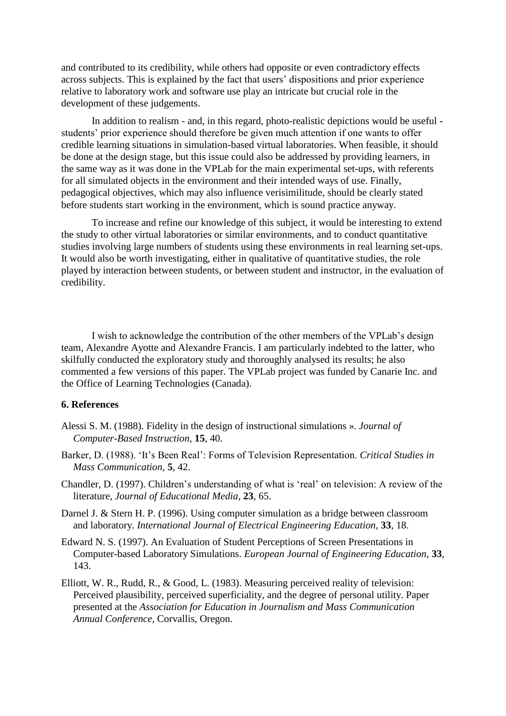and contributed to its credibility, while others had opposite or even contradictory effects across subjects. This is explained by the fact that users' dispositions and prior experience relative to laboratory work and software use play an intricate but crucial role in the development of these judgements.

In addition to realism - and, in this regard, photo-realistic depictions would be useful students' prior experience should therefore be given much attention if one wants to offer credible learning situations in simulation-based virtual laboratories. When feasible, it should be done at the design stage, but this issue could also be addressed by providing learners, in the same way as it was done in the VPLab for the main experimental set-ups, with referents for all simulated objects in the environment and their intended ways of use. Finally, pedagogical objectives, which may also influence verisimilitude, should be clearly stated before students start working in the environment, which is sound practice anyway.

To increase and refine our knowledge of this subject, it would be interesting to extend the study to other virtual laboratories or similar environments, and to conduct quantitative studies involving large numbers of students using these environments in real learning set-ups. It would also be worth investigating, either in qualitative of quantitative studies, the role played by interaction between students, or between student and instructor, in the evaluation of credibility.

I wish to acknowledge the contribution of the other members of the VPLab's design team, Alexandre Ayotte and Alexandre Francis. I am particularly indebted to the latter, who skilfully conducted the exploratory study and thoroughly analysed its results; he also commented a few versions of this paper. The VPLab project was funded by Canarie Inc. and the Office of Learning Technologies (Canada).

# **6. References**

- Alessi S. M. (1988). Fidelity in the design of instructional simulations ». *Journal of Computer-Based Instruction,* **15**, 40.
- Barker, D. (1988). 'It's Been Real': Forms of Television Representation. *Critical Studies in Mass Communication*, **5**, 42.
- Chandler, D. (1997). Children's understanding of what is 'real' on television: A review of the literature, *Journal of Educational Media*, **23**, 65.
- Darnel J. & Stern H. P. (1996). Using computer simulation as a bridge between classroom and laboratory. *International Journal of Electrical Engineering Education*, **33**, 18.
- Edward N. S. (1997). An Evaluation of Student Perceptions of Screen Presentations in Computer-based Laboratory Simulations. *European Journal of Engineering Education*, **33**, 143.
- Elliott, W. R., Rudd, R., & Good, L. (1983). Measuring perceived reality of television: Perceived plausibility, perceived superficiality, and the degree of personal utility. Paper presented at the *Association for Education in Journalism and Mass Communication Annual Conference*, Corvallis, Oregon.